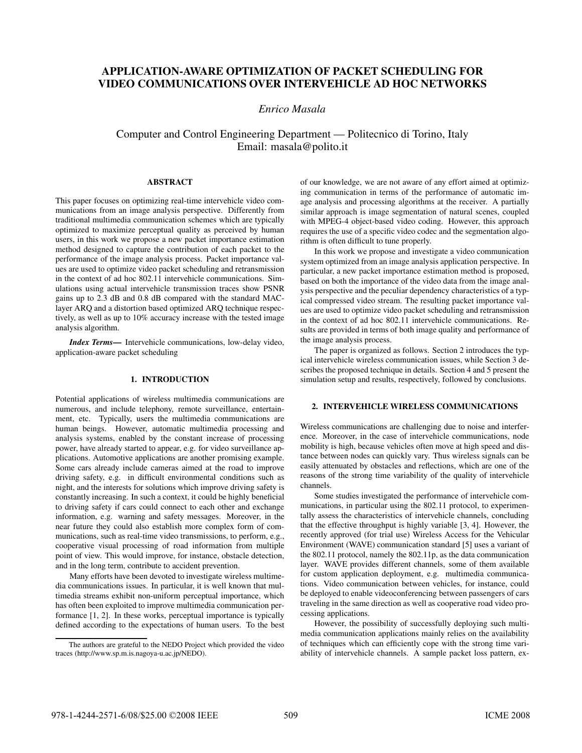# APPLICATION-AWARE OPTIMIZATION OF PACKET SCHEDULING FOR VIDEO COMMUNICATIONS OVER INTERVEHICLE AD HOC NETWORKS

### *Enrico Masala*

Computer and Control Engineering Department — Politecnico di Torino, Italy Email: masala@polito.it

#### ABSTRACT

This paper focuses on optimizing real-time intervehicle video communications from an image analysis perspective. Differently from traditional multimedia communication schemes which are typically optimized to maximize perceptual quality as perceived by human users, in this work we propose a new packet importance estimation method designed to capture the contribution of each packet to the performance of the image analysis process. Packet importance values are used to optimize video packet scheduling and retransmission in the context of ad hoc 802.11 intervehicle communications. Simulations using actual intervehicle transmission traces show PSNR gains up to 2.3 dB and 0.8 dB compared with the standard MAClayer ARQ and a distortion based optimized ARQ technique respectively, as well as up to 10% accuracy increase with the tested image analysis algorithm.

*Index Terms*— Intervehicle communications, low-delay video, application-aware packet scheduling

### 1. INTRODUCTION

Potential applications of wireless multimedia communications are numerous, and include telephony, remote surveillance, entertainment, etc. Typically, users the multimedia communications are human beings. However, automatic multimedia processing and analysis systems, enabled by the constant increase of processing power, have already started to appear, e.g. for video surveillance applications. Automotive applications are another promising example. Some cars already include cameras aimed at the road to improve driving safety, e.g. in difficult environmental conditions such as night, and the interests for solutions which improve driving safety is constantly increasing. In such a context, it could be highly beneficial to driving safety if cars could connect to each other and exchange information, e.g. warning and safety messages. Moreover, in the near future they could also establish more complex form of communications, such as real-time video transmissions, to perform, e.g., cooperative visual processing of road information from multiple point of view. This would improve, for instance, obstacle detection, and in the long term, contribute to accident prevention.

Many efforts have been devoted to investigate wireless multimedia communications issues. In particular, it is well known that multimedia streams exhibit non-uniform perceptual importance, which has often been exploited to improve multimedia communication performance [1, 2]. In these works, perceptual importance is typically defined according to the expectations of human users. To the best of our knowledge, we are not aware of any effort aimed at optimizing communication in terms of the performance of automatic image analysis and processing algorithms at the receiver. A partially similar approach is image segmentation of natural scenes, coupled with MPEG-4 object-based video coding. However, this approach requires the use of a specific video codec and the segmentation algorithm is often difficult to tune properly.

In this work we propose and investigate a video communication system optimized from an image analysis application perspective. In particular, a new packet importance estimation method is proposed, based on both the importance of the video data from the image analysis perspective and the peculiar dependency characteristics of a typical compressed video stream. The resulting packet importance values are used to optimize video packet scheduling and retransmission in the context of ad hoc 802.11 intervehicle communications. Results are provided in terms of both image quality and performance of the image analysis process.

The paper is organized as follows. Section 2 introduces the typical intervehicle wireless communication issues, while Section 3 describes the proposed technique in details. Section 4 and 5 present the simulation setup and results, respectively, followed by conclusions.

#### 2. INTERVEHICLE WIRELESS COMMUNICATIONS 2. INTERVEHICLE WIRELESS COMMUNICATIONS

Wireless communications are challenging due to noise and interference. Moreover, in the case of intervehicle communications, node mobility is high, because vehicles often move at high speed and distance between nodes can quickly vary. Thus wireless signals can be easily attenuated by obstacles and reflections, which are one of the reasons of the strong time variability of the quality of intervehicle channels.

Some studies investigated the performance of intervehicle communications, in particular using the 802.11 protocol, to experimentally assess the characteristics of intervehicle channels, concluding that the effective throughput is highly variable [3, 4]. However, the recently approved (for trial use) Wireless Access for the Vehicular Environment (WAVE) communication standard [5] uses a variant of the 802.11 protocol, namely the 802.11p, as the data communication layer. WAVE provides different channels, some of them available for custom application deployment, e.g. multimedia communications. Video communication between vehicles, for instance, could be deployed to enable videoconferencing between passengers of cars traveling in the same direction as well as cooperative road video processing applications.

However, the possibility of successfully deploying such multimedia communication applications mainly relies on the availability of techniques which can efficiently cope with the strong time variability of intervehicle channels. A sample packet loss pattern, ex-

The authors are grateful to the NEDO Project which provided the video traces (http://www.sp.m.is.nagoya-u.ac.jp/NEDO).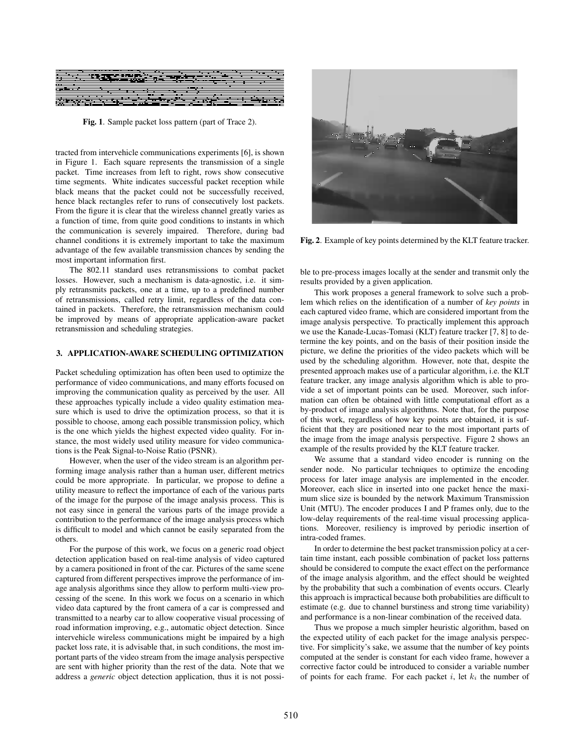

Fig. 1. Sample packet loss pattern (part of Trace 2).

tracted from intervehicle communications experiments [6], is shown in Figure 1. Each square represents the transmission of a single packet. Time increases from left to right, rows show consecutive time segments. White indicates successful packet reception while black means that the packet could not be successfully received, hence black rectangles refer to runs of consecutively lost packets. From the figure it is clear that the wireless channel greatly varies as a function of time, from quite good conditions to instants in which the communication is severely impaired. Therefore, during bad channel conditions it is extremely important to take the maximum advantage of the few available transmission chances by sending the most important information first.

The 802.11 standard uses retransmissions to combat packet losses. However, such a mechanism is data-agnostic, i.e. it simply retransmits packets, one at a time, up to a predefined number of retransmissions, called retry limit, regardless of the data contained in packets. Therefore, the retransmission mechanism could be improved by means of appropriate application-aware packet retransmission and scheduling strategies.

#### 3. APPLICATION-AWARE SCHEDULING OPTIMIZATION

Packet scheduling optimization has often been used to optimize the performance of video communications, and many efforts focused on improving the communication quality as perceived by the user. All these approaches typically include a video quality estimation measure which is used to drive the optimization process, so that it is possible to choose, among each possible transmission policy, which is the one which yields the highest expected video quality. For instance, the most widely used utility measure for video communications is the Peak Signal-to-Noise Ratio (PSNR).

However, when the user of the video stream is an algorithm performing image analysis rather than a human user, different metrics could be more appropriate. In particular, we propose to define a utility measure to reflect the importance of each of the various parts of the image for the purpose of the image analysis process. This is not easy since in general the various parts of the image provide a contribution to the performance of the image analysis process which is difficult to model and which cannot be easily separated from the others.

For the purpose of this work, we focus on a generic road object detection application based on real-time analysis of video captured by a camera positioned in front of the car. Pictures of the same scene captured from different perspectives improve the performance of image analysis algorithms since they allow to perform multi-view processing of the scene. In this work we focus on a scenario in which video data captured by the front camera of a car is compressed and transmitted to a nearby car to allow cooperative visual processing of road information improving, e.g., automatic object detection. Since intervehicle wireless communications might be impaired by a high packet loss rate, it is advisable that, in such conditions, the most important parts of the video stream from the image analysis perspective are sent with higher priority than the rest of the data. Note that we address a *generic* object detection application, thus it is not possi-



Fig. 2. Example of key points determined by the KLT feature tracker.

ble to pre-process images locally at the sender and transmit only the results provided by a given application.

This work proposes a general framework to solve such a problem which relies on the identification of a number of *key points* in each captured video frame, which are considered important from the image analysis perspective. To practically implement this approach we use the Kanade-Lucas-Tomasi (KLT) feature tracker [7, 8] to determine the key points, and on the basis of their position inside the picture, we define the priorities of the video packets which will be used by the scheduling algorithm. However, note that, despite the presented approach makes use of a particular algorithm, i.e. the KLT feature tracker, any image analysis algorithm which is able to provide a set of important points can be used. Moreover, such information can often be obtained with little computational effort as a by-product of image analysis algorithms. Note that, for the purpose of this work, regardless of how key points are obtained, it is sufficient that they are positioned near to the most important parts of the image from the image analysis perspective. Figure 2 shows an example of the results provided by the KLT feature tracker.

We assume that a standard video encoder is running on the sender node. No particular techniques to optimize the encoding process for later image analysis are implemented in the encoder. Moreover, each slice in inserted into one packet hence the maximum slice size is bounded by the network Maximum Transmission Unit (MTU). The encoder produces I and P frames only, due to the low-delay requirements of the real-time visual processing applications. Moreover, resiliency is improved by periodic insertion of intra-coded frames.

In order to determine the best packet transmission policy at a certain time instant, each possible combination of packet loss patterns should be considered to compute the exact effect on the performance of the image analysis algorithm, and the effect should be weighted by the probability that such a combination of events occurs. Clearly this approach is impractical because both probabilities are difficult to estimate (e.g. due to channel burstiness and strong time variability) and performance is a non-linear combination of the received data.

Thus we propose a much simpler heuristic algorithm, based on the expected utility of each packet for the image analysis perspective. For simplicity's sake, we assume that the number of key points computed at the sender is constant for each video frame, however a corrective factor could be introduced to consider a variable number of points for each frame. For each packet  $i$ , let  $k_i$  the number of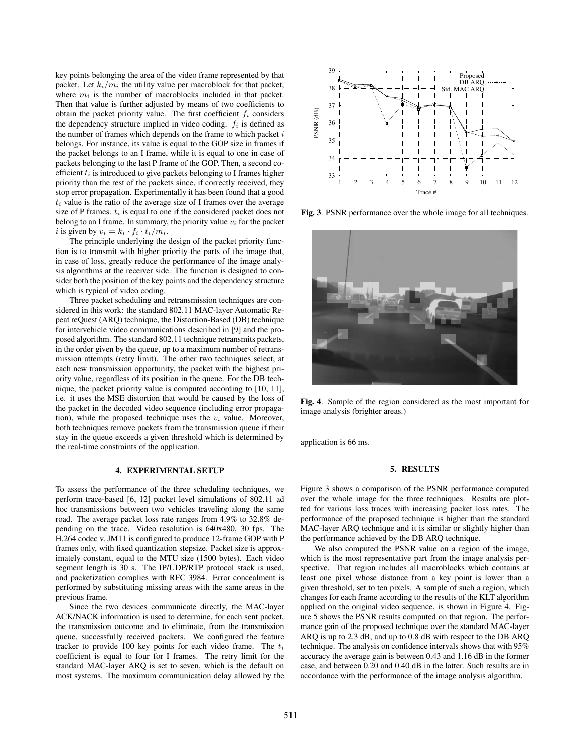key points belonging the area of the video frame represented by that packet. Let  $k_i/m_i$  the utility value per macroblock for that packet, where  $m_i$  is the number of macroblocks included in that packet. Then that value is further adjusted by means of two coefficients to obtain the packet priority value. The first coefficient  $f_i$  considers the dependency structure implied in video coding.  $f_i$  is defined as the number of frames which depends on the frame to which packet  $i$ belongs. For instance, its value is equal to the GOP size in frames if the packet belongs to an I frame, while it is equal to one in case of packets belonging to the last P frame of the GOP. Then, a second coefficient  $t_i$  is introduced to give packets belonging to I frames higher priority than the rest of the packets since, if correctly received, they stop error propagation. Experimentally it has been found that a good  $t_i$  value is the ratio of the average size of I frames over the average size of P frames.  $t_i$  is equal to one if the considered packet does not belong to an I frame. In summary, the priority value  $v_i$  for the packet *i* is given by  $v_i = k_i \cdot f_i \cdot t_i/m_i$ .

The principle underlying the design of the packet priority function is to transmit with higher priority the parts of the image that, in case of loss, greatly reduce the performance of the image analysis algorithms at the receiver side. The function is designed to consider both the position of the key points and the dependency structure which is typical of video coding.

Three packet scheduling and retransmission techniques are considered in this work: the standard 802.11 MAC-layer Automatic Repeat reQuest (ARQ) technique, the Distortion-Based (DB) technique for intervehicle video communications described in [9] and the proposed algorithm. The standard 802.11 technique retransmits packets, in the order given by the queue, up to a maximum number of retransmission attempts (retry limit). The other two techniques select, at each new transmission opportunity, the packet with the highest priority value, regardless of its position in the queue. For the DB technique, the packet priority value is computed according to [10, 11], i.e. it uses the MSE distortion that would be caused by the loss of the packet in the decoded video sequence (including error propagation), while the proposed technique uses the  $v_i$  value. Moreover, both techniques remove packets from the transmission queue if their stay in the queue exceeds a given threshold which is determined by the real-time constraints of the application.

## 4. EXPERIMENTAL SETUP

To assess the performance of the three scheduling techniques, we perform trace-based [6, 12] packet level simulations of 802.11 ad hoc transmissions between two vehicles traveling along the same road. The average packet loss rate ranges from 4.9% to 32.8% depending on the trace. Video resolution is 640x480, 30 fps. The H.264 codec v. JM11 is configured to produce 12-frame GOP with P frames only, with fixed quantization stepsize. Packet size is approximately constant, equal to the MTU size (1500 bytes). Each video segment length is 30 s. The IP/UDP/RTP protocol stack is used, and packetization complies with RFC 3984. Error concealment is performed by substituting missing areas with the same areas in the previous frame.

Since the two devices communicate directly, the MAC-layer ACK/NACK information is used to determine, for each sent packet, the transmission outcome and to eliminate, from the transmission queue, successfully received packets. We configured the feature tracker to provide 100 key points for each video frame. The  $t_i$ coefficient is equal to four for I frames. The retry limit for the standard MAC-layer ARQ is set to seven, which is the default on most systems. The maximum communication delay allowed by the



Fig. 3. PSNR performance over the whole image for all techniques.



Fig. 4. Sample of the region considered as the most important for image analysis (brighter areas.)

application is 66 ms.

### 5. <del>. . . .</del> . . . .

Figure 3 shows a comparison of the PSNR performance computed over the whole image for the three techniques. Results are plotted for various loss traces with increasing packet loss rates. The performance of the proposed technique is higher than the standard MAC-layer ARQ technique and it is similar or slightly higher than the performance achieved by the DB ARQ technique.

We also computed the PSNR value on a region of the image, which is the most representative part from the image analysis perspective. That region includes all macroblocks which contains at least one pixel whose distance from a key point is lower than a given threshold, set to ten pixels. A sample of such a region, which changes for each frame according to the results of the KLT algorithm applied on the original video sequence, is shown in Figure 4. Figure 5 shows the PSNR results computed on that region. The performance gain of the proposed technique over the standard MAC-layer ARQ is up to 2.3 dB, and up to 0.8 dB with respect to the DB ARQ technique. The analysis on confidence intervals shows that with 95% accuracy the average gain is between 0.43 and 1.16 dB in the former case, and between 0.20 and 0.40 dB in the latter. Such results are in accordance with the performance of the image analysis algorithm.